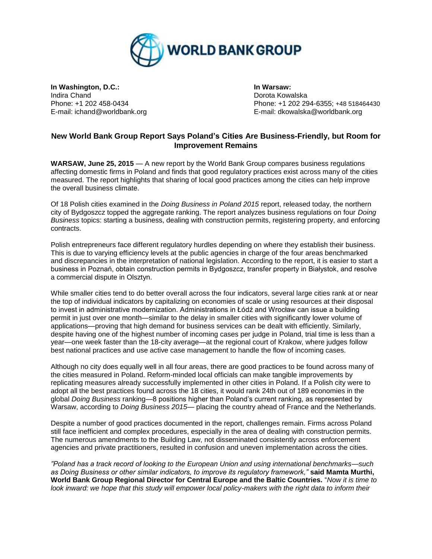

**In Washington, D.C.: In Warsaw:** Indira Chand Dorota Kowalska

Phone: +1 202 458-0434 Phone: +1 202 294-6355; +48 518464430 E-mail: ichand@worldbank.org E-mail: dkowalska@worldbank.org

## **New World Bank Group Report Says Poland's Cities Are Business-Friendly, but Room for Improvement Remains**

**WARSAW, June 25, 2015** — A new report by the World Bank Group compares business regulations affecting domestic firms in Poland and finds that good regulatory practices exist across many of the cities measured. The report highlights that sharing of local good practices among the cities can help improve the overall business climate.

Of 18 Polish cities examined in the *Doing Business in Poland 2015* report, released today, the northern city of Bydgoszcz topped the aggregate ranking. The report analyzes business regulations on four *Doing Business* topics: starting a business, dealing with construction permits, registering property, and enforcing contracts.

Polish entrepreneurs face different regulatory hurdles depending on where they establish their business. This is due to varying efficiency levels at the public agencies in charge of the four areas benchmarked and discrepancies in the interpretation of national legislation. According to the report, it is easier to start a business in Poznań, obtain construction permits in Bydgoszcz, transfer property in Białystok, and resolve a commercial dispute in Olsztyn.

While smaller cities tend to do better overall across the four indicators, several large cities rank at or near the top of individual indicators by capitalizing on economies of scale or using resources at their disposal to invest in administrative modernization. Administrations in Łódź and Wrocław can issue a building permit in just over one month—similar to the delay in smaller cities with significantly lower volume of applications—proving that high demand for business services can be dealt with efficiently. Similarly, despite having one of the highest number of incoming cases per judge in Poland, trial time is less than a year—one week faster than the 18-city average—at the regional court of Krakow, where judges follow best national practices and use active case management to handle the flow of incoming cases.

Although no city does equally well in all four areas, there are good practices to be found across many of the cities measured in Poland. Reform-minded local officials can make tangible improvements by replicating measures already successfully implemented in other cities in Poland. If a Polish city were to adopt all the best practices found across the 18 cities, it would rank 24th out of 189 economies in the global *Doing Business* ranking—8 positions higher than Poland's current ranking, as represented by Warsaw, according to *Doing Business 2015*— placing the country ahead of France and the Netherlands.

Despite a number of good practices documented in the report, challenges remain. Firms across Poland still face inefficient and complex procedures, especially in the area of dealing with construction permits. The numerous amendments to the Building Law, not disseminated consistently across enforcement agencies and private practitioners, resulted in confusion and uneven implementation across the cities.

*"Poland has a track record of looking to the European Union and using international benchmarks—such as Doing Business or other similar indicators, to improve its regulatory framework,"* **said Mamta Murthi, World Bank Group Regional Director for Central Europe and the Baltic Countries.** "*Now it is time to look inward: we hope that this study will empower local policy-makers with the right data to inform their*